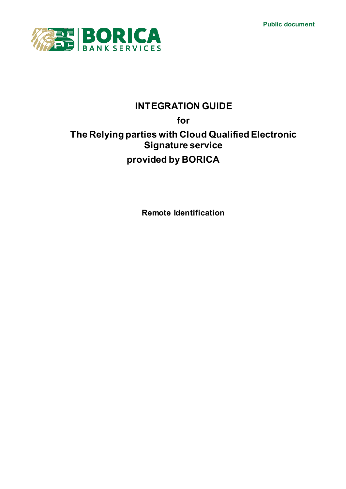**Public document**



# **INTEGRATION GUIDE for The Relying parties with Cloud Qualified Electronic Signature service provided by BORICA**

**Remote Identification**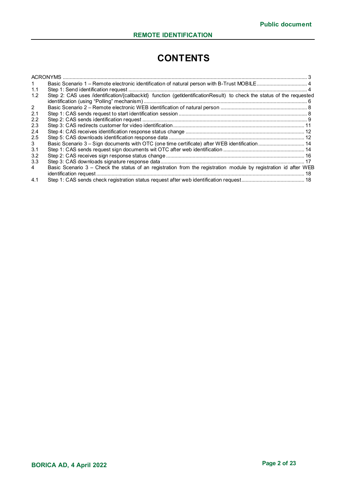# **CONTENTS**

|               | <b>ACRONYMS</b>                                                                                                       |  |
|---------------|-----------------------------------------------------------------------------------------------------------------------|--|
|               |                                                                                                                       |  |
| 1.1           |                                                                                                                       |  |
| 1.2           | Step 2: CAS uses /identification/{callbackId} function (getIdentificationResult) to check the status of the requested |  |
|               |                                                                                                                       |  |
| 2             |                                                                                                                       |  |
| 2.1           |                                                                                                                       |  |
| $2.2^{\circ}$ |                                                                                                                       |  |
| 2.3           |                                                                                                                       |  |
| 2.4           |                                                                                                                       |  |
| 2.5           |                                                                                                                       |  |
| 3             |                                                                                                                       |  |
| 3.1           |                                                                                                                       |  |
| 3.2           |                                                                                                                       |  |
| 3.3           |                                                                                                                       |  |
| 4             | Basic Scenario 3 – Check the status of an registration from the registration module by registration id after WEB      |  |
|               |                                                                                                                       |  |
| 4.1           |                                                                                                                       |  |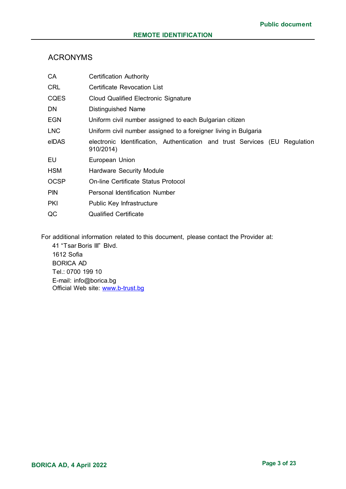## <span id="page-2-0"></span>ACRONYMS

| CA          | <b>Certification Authority</b>                                                           |  |  |
|-------------|------------------------------------------------------------------------------------------|--|--|
| <b>CRL</b>  | Certificate Revocation List                                                              |  |  |
| <b>CQES</b> | <b>Cloud Qualified Electronic Signature</b>                                              |  |  |
| <b>DN</b>   | <b>Distinguished Name</b>                                                                |  |  |
| <b>EGN</b>  | Uniform civil number assigned to each Bulgarian citizen                                  |  |  |
| <b>LNC</b>  | Uniform civil number assigned to a foreigner living in Bulgaria                          |  |  |
| eIDAS       | electronic Identification, Authentication and trust Services (EU Regulation<br>910/2014) |  |  |
| EU          | European Union                                                                           |  |  |
| <b>HSM</b>  | <b>Hardware Security Module</b>                                                          |  |  |
| <b>OCSP</b> | <b>On-line Certificate Status Protocol</b>                                               |  |  |
| <b>PIN</b>  | <b>Personal Identification Number</b>                                                    |  |  |
| <b>PKI</b>  | Public Key Infrastructure                                                                |  |  |
| QC          | <b>Qualified Certificate</b>                                                             |  |  |

For additional information related to this document, please contact the Provider at:

41 "Tsar Boris III" Blvd. 1612 Sofia BORICA AD Tel.: 0700 199 10 E-mail: info@borica.bg Official Web site: www.b-trust.bg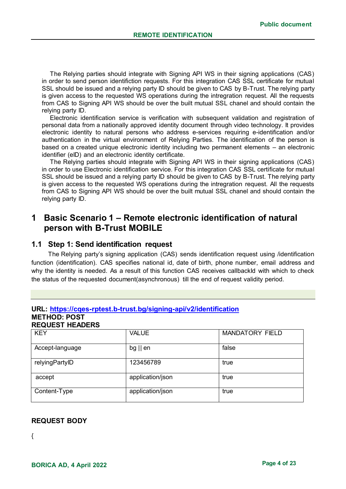The Relying parties should integrate with Signing API WS in their signing applications (CAS) in order to send person identifiction requests. For this integration CAS SSL certificate for mutual SSL should be issued and a relying party ID should be given to CAS by B-Trust. The relying party is given access to the requested WS operations during the intregration request. All the requests from CAS to Signing API WS should be over the built mutual SSL chanel and should contain the relying party ID.

Electronic identification service is verification with subsequent validation and registration of personal data from a nationally approved identity document through video technology. It provides electronic identity to natural persons who address e-services requiring e-identification and/or authentication in the virtual environment of Relying Parties. The identification of the person is based on a created unique electronic identity including two permanent elements – an electronic identifier (eID) and an electronic identity certificate.

The Relying parties should integrate with Signing API WS in their signing applications (CAS) in order to use Electronic identification service. For this integration CAS SSL certificate for mutual SSL should be issued and a relying party ID should be given to CAS by B-Trust. The relying party is given access to the requested WS operations during the intregration request. All the requests from CAS to Signing API WS should be over the built mutual SSL chanel and should contain the relying party ID.

## <span id="page-3-0"></span>**1 Basic Scenario 1 – Remote electronic identification of natural person with B-Trust MOBILE**

### <span id="page-3-1"></span>**1.1 Step 1: Send identification request**

The Relying party's signing application (CAS) sends identification request using /identification function (identification). CAS specifies national id, date of birth, phone number, email address and why the identity is needed. As a result of this function CAS receives callbackId with which to check the status of the requested document(asynchronous) till the end of request validity period.

## **URL: https://cqes-rptest.b-trust.bg/signing-api/v2/identification**

#### **METHOD: POST REQUEST HEADERS**

| <b>KEY</b>      | <b>VALUE</b>      | <b>MANDATORY FIELD</b> |  |
|-----------------|-------------------|------------------------|--|
| Accept-language | $bg \parallel en$ | false                  |  |
| relyingPartyID  | 123456789         | true                   |  |
| accept          | application/json  | true                   |  |
| Content-Type    | application/json  | true                   |  |

## **REQUEST BODY**

{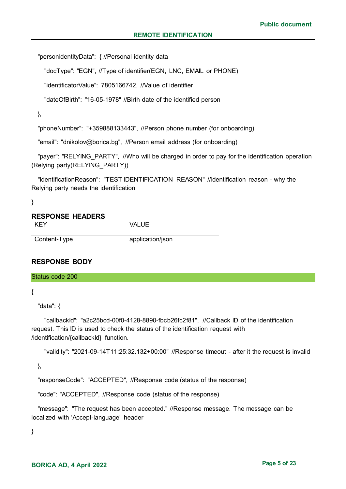"personIdentityData": { //Personal identity data

"docType": "EGN", //Type of identifier(EGN, LNC, EMAIL or PHONE)

"identificatorValue": 7805166742, //Value of identifier

"dateOfBirth": "16-05-1978" //Birth date of the identified person

},

"phoneNumber": "+359888133443", //Person phone number (for onboarding)

"email": "dnikolov@borica.bg", //Person email address (for onboarding)

"payer": "RELYING PARTY", //Who will be charged in order to pay for the identification operation (Relying party(RELYING\_PARTY))

 "identificationReason": "TEST IDENTIFICATION REASON" //Identification reason - why the Relying party needs the identification

}

#### **RESPONSE HEADERS**

| <b>KEY</b>   | <b>VALUE</b>     |
|--------------|------------------|
| Content-Type | application/json |

#### **RESPONSE BODY**

Status code 200

{

"data": {

 "callbackId": "a2c25bcd-00f0-4128-8890-fbcb26fc2f81", //Callback ID of the identification request. This ID is used to check the status of the identification request with /identification/{callbackId} function.

"validity": "2021-09-14T11:25:32.132+00:00" //Response timeout - after it the request is invalid

},

"responseCode": "ACCEPTED", //Response code (status of the response)

"code": "ACCEPTED", //Response code (status of the response)

 "message": "The request has been accepted." //Response message. The message can be localized with 'Accept-language' header

}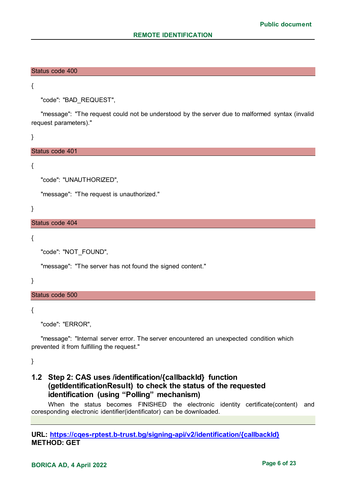#### Status code 400

{

"code": "BAD\_REQUEST",

 "message": "The request could not be understood by the server due to malformed syntax (invalid request parameters)."

}

#### Status code 401

{

"code": "UNAUTHORIZED",

"message": "The request is unauthorized."

}

Status code 404

{

"code": "NOT\_FOUND",

"message": "The server has not found the signed content."

}

Status code 500

{

"code": "ERROR",

 "message": "Internal server error. The server encountered an unexpected condition which prevented it from fulfilling the request."

}

## <span id="page-5-0"></span>**1.2 Step 2: CAS uses /identification/{callbackId} function (getIdentificationResult) to check the status of the requested identification (using "Polling" mechanism)**

When the status becomes FINISHED the electronic identity certificate(content) and coresponding electronic identifier(identificator) can be downloaded.

#### **URL: https://cqes-rptest.b-trust.bg/signing-api/v2/identification/{callbackId} METHOD: GET**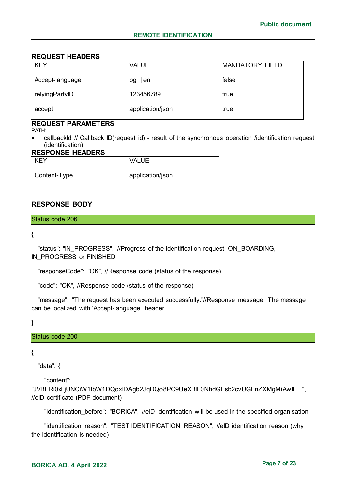### **REQUEST HEADERS**

| <b>KEY</b>      | <b>VALUE</b>      | <b>MANDATORY FIELD</b> |
|-----------------|-------------------|------------------------|
| Accept-language | $bg \parallel en$ | false                  |
| relyingPartyID  | 123456789         | true                   |
| accept          | application/json  | true                   |

## **REQUEST PARAMETERS**

PATH:

 callbackId // Callback ID(request id) - result of the synchronous operation /identification request (identification)

#### **RESPONSE HEADERS**

| KEY          | <b>VALUE</b>     |
|--------------|------------------|
| Content-Type | application/json |

## **RESPONSE BODY**

#### Status code 206

#### {

"status": "IN\_PROGRESS", //Progress of the identification request. ON\_BOARDING, IN PROGRESS or FINISHED

"responseCode": "OK", //Response code (status of the response)

"code": "OK", //Response code (status of the response)

 "message": "The request has been executed successfully."//Response message. The message can be localized with 'Accept-language' header

}

#### Status code 200

#### {

"data": {

"content":

"JVBERi0xLjUNCiW1tbW1DQoxIDAgb2JqDQo8PC9UeXBlL0NhdGFsb2cvUGFnZXMgMiAwIF...", //eID certificate (PDF document)

"identification before": "BORICA", //eID identification will be used in the specified organisation

 "identification\_reason": "TEST IDENTIFICATION REASON", //eID identification reason (why the identification is needed)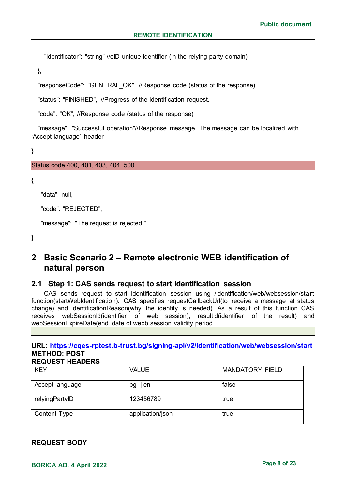"identificator": "string" //eID unique identifier (in the relying party domain)

},

"responseCode": "GENERAL\_OK", //Response code (status of the response)

"status": "FINISHED", //Progress of the identification request.

"code": "OK", //Response code (status of the response)

 "message": "Successful operation"//Response message. The message can be localized with 'Accept-language' header

}

#### Status code 400, 401, 403, 404, 500

{

"data": null,

"code": "REJECTED",

"message": "The request is rejected."

}

## <span id="page-7-0"></span>**2 Basic Scenario 2 – Remote electronic WEB identification of natural person**

#### <span id="page-7-1"></span>**2.1 Step 1: CAS sends request to start identification session**

CAS sends request to start identification session using /identification/web/websession/start function(startWebIdentification). CAS specifies requestCallbackUrl(to receive a message at status change) and identificationReason(why the identity is needed). As a result of this function CAS receives webSessionId(identifier of web session), resultId(identifier of the result) and webSessionExpireDate(end date of webb session validity period.

#### **URL: https://cqes-rptest.b-trust.bg/signing-api/v2/identification/web/websession/start METHOD: POST REQUEST HEADERS**

| <b>KEY</b>      | <b>VALUE</b>      | <b>MANDATORY FIELD</b> |
|-----------------|-------------------|------------------------|
| Accept-language | $bg \parallel en$ | false                  |
| relyingPartyID  | 123456789         | true                   |
| Content-Type    | application/json  | true                   |

**REQUEST BODY**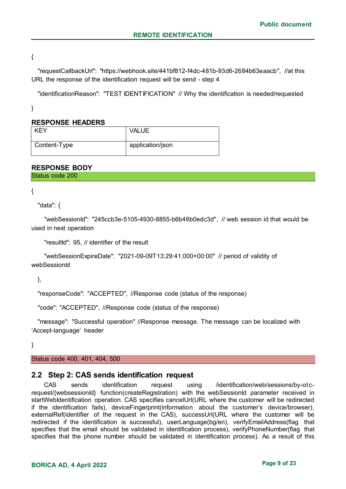{

 "requestCallbackUrl": "https://webhook.site/441bf812-f4dc-481b-93d6-2684b63eaacb", //at this URL the response of the identification request will be send - step 4

"identificationReason": "TEST IDENTIFICATION" // Why the identification is needed/requested

}

#### **RESPONSE HEADERS**

| KEY          | <b>VALUE</b>     |
|--------------|------------------|
| Content-Type | application/json |

#### **RESPONSE BODY**

Status code 200

{

"data": {

 "webSessionId": "245ccb3e-5105-4930-8855-b6b46b0edc3d", // web session id that would be used in next operation

"resultId": 95, // identifier of the result

 "webSessionExpireDate": "2021-09-09T13:29:41.000+00:00" // period of validity of webSessionId

},

"responseCode": "ACCEPTED", //Response code (status of the response)

"code": "ACCEPTED", //Response code (status of the response)

 "message": "Successful operation" //Response message. The message can be localized with 'Accept-language' header

}

Status code 400, 401, 404, 500

#### <span id="page-8-0"></span>**2.2 Step 2: CAS sends identification request**

CAS sends identification request using /identification/web/sessions/by-otcrequest/{websessionId} function(createRegistration) with the webSessionId parameter received in startWebIdentification operation. CAS specifies cancelUrl(URL where the customer will be redirected if the identification fails), deviceFingerprint(information about the customer's device/browser), externalRef(identifier of the request in the CAS), successUrl(URL where the customer will be redirected if the identification is successful), userLanguage(bg/en), verifyEmailAddress(flag that specifies that the email should be validated in identification process), verifyPhoneNumber(flag that specifies that the phone number should be validated in identification process). As a result of this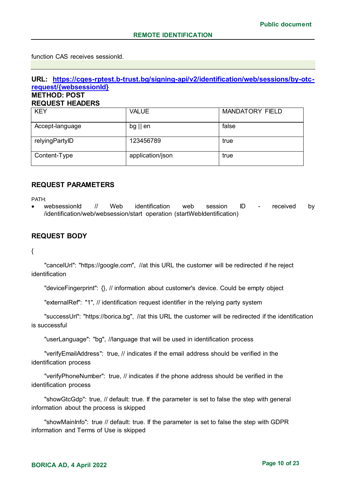function CAS receives sessionId.

#### **URL: https://cqes-rptest.b-trust.bg/signing-api/v2/identification/web/sessions/by-otcrequest/{websessionId} METHOD: POST REQUEST HEADERS**

| <b>KEY</b>      | <b>VALUE</b>      | <b>MANDATORY FIELD</b> |
|-----------------|-------------------|------------------------|
| Accept-language | $bg \parallel en$ | false                  |
| relyingPartyID  | 123456789         | true                   |
| Content-Type    | application/json  | true                   |

#### **REQUEST PARAMETERS**

PATH:

websessionId // Web identification web session ID - received by /identification/web/websession/start operation (startWebIdentification)

### **REQUEST BODY**

{

 "cancelUrl": "https://google.com", //at this URL the customer will be redirected if he reject identification

"deviceFingerprint": {}, // information about customer's device. Could be empty object

"externalRef": "1", // identification request identifier in the relying party system

 "successUrl": "https://borica.bg", //at this URL the customer will be redirected if the identification is successful

"userLanguage": "bg", //language that will be used in identification process

 "verifyEmailAddress": true, // indicates if the email address should be verified in the identification process

 "verifyPhoneNumber": true, // indicates if the phone address should be verified in the identification process

 "showGtcGdp": true, // default: true. If the parameter is set to false the step with general information about the process is skipped

 "showMainInfo": true // default: true. If the parameter is set to false the step with GDPR information and Terms of Use is skipped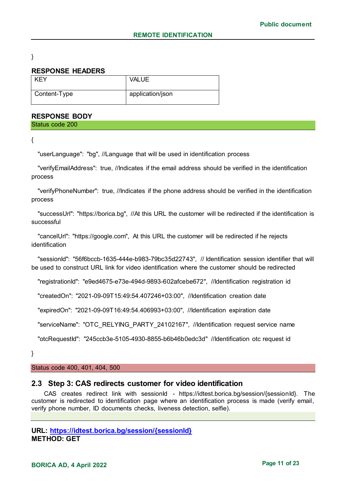}

#### **RESPONSE HEADERS**

| <b>KEY</b>   | <b>VALUE</b>     |
|--------------|------------------|
| Content-Type | application/json |

#### **RESPONSE BODY**

Status code 200

{

"userLanguage": "bg", //Language that will be used in identification process

 "verifyEmailAddress": true, //Indicates if the email address should be verified in the identification process

 "verifyPhoneNumber": true, //Indicates if the phone address should be verified in the identification process

 "successUrl": "https://borica.bg", //At this URL the customer will be redirected if the identification is successful

 "cancelUrl": "https://google.com", At this URL the customer will be redirected if he rejects identification

 "sessionId": "56f6bccb-1635-444e-b983-79bc35d22743", // Identification session identifier that will be used to construct URL link for video identification where the customer should be redirected

"registrationId": "e9ed4675-e73e-494d-9893-602afcebe672", //Identification registration id

"createdOn": "2021-09-09T15:49:54.407246+03:00", //Identification creation date

"expiredOn": "2021-09-09T16:49:54.406993+03:00", //Identification expiration date

"serviceName": "OTC\_RELYING\_PARTY\_24102167", //Identification request service name

"otcRequestId": "245ccb3e-5105-4930-8855-b6b46b0edc3d" //Identification otc request id

}

Status code 400, 401, 404, 500

#### <span id="page-10-0"></span>**2.3 Step 3: CAS redirects customer for video identification**

CAS creates redirect link with sessionId - https://idtest.borica.bg/session/{sessionId}. The customer is redirected to identification page where an identification process is made (verify email, verify phone number, ID documents checks, liveness detection, selfie).

```
URL: https://idtest.borica.bg/session/{sessionId}
METHOD: GET
```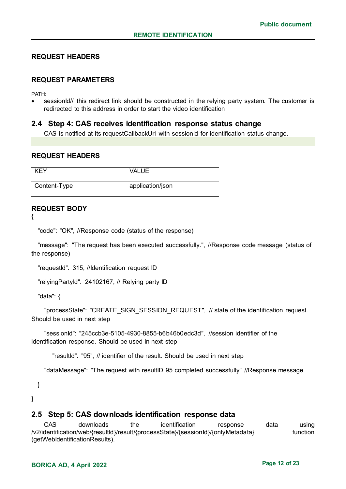#### **REQUEST HEADERS**

#### **REQUEST PARAMETERS**

PATH:

sessionId// this redirect link shouId be constructed in the relying party system. The customer is redirected to this address in order to start the video identification

#### <span id="page-11-0"></span>**2.4 Step 4: CAS receives identification response status change**

CAS is notified at its requestCallbackUrl with sessionId for identification status change.

#### **REQUEST HEADERS**

| KEY          | <b>VALUE</b>     |
|--------------|------------------|
| Content-Type | application/json |

#### **REQUEST BODY**

{

"code": "OK", //Response code (status of the response)

 "message": "The request has been executed successfully.", //Response code message (status of the response)

"requestId": 315, //Identification request ID

"relyingPartyId": 24102167, // Relying party ID

"data": {

"processState": "CREATE\_SIGN\_SESSION\_REQUEST", // state of the identification request. Should be used in next step

 "sessionId": "245ccb3e-5105-4930-8855-b6b46b0edc3d", //session identifier of the identification response. Should be used in next step

"resultId": "95", // identifier of the result. Should be used in next step

"dataMessage": "The request with resultID 95 completed successfully" //Response message

}

}

#### <span id="page-11-1"></span>**2.5 Step 5: CAS downloads identification response data**

CAS downloads the identification response data using /v2/identification/web/{resultId}/result/{processState}/{sessionId}/{onlyMetadata} function (getWebIdentificationResults).

## **BORICA AD, 4 April 2022 Page 12 of 23**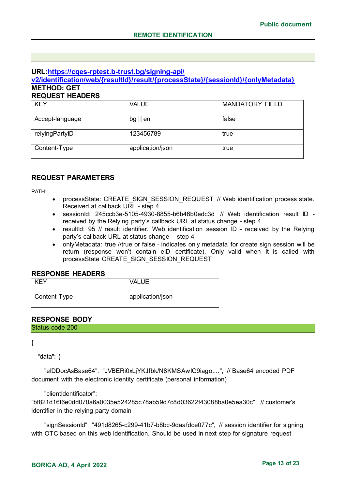## **URL:https://cqes-rptest.b-trust.bg/signing-api/**

**v2/identification/web/{resultId}/result/{processState}/{sessionId}/{onlyMetadata} METHOD: GET**

### **REQUEST HEADERS**

| <b>KEY</b>      | <b>VALUE</b>      | <b>MANDATORY FIELD</b> |
|-----------------|-------------------|------------------------|
| Accept-language | $bg \parallel en$ | false                  |
| relyingPartyID  | 123456789         | true                   |
| Content-Type    | application/json  | true                   |

### **REQUEST PARAMETERS**

PATH:

- processState: CREATE\_SIGN\_SESSION\_REQUEST // Web identification process state. Received at callback URL - step 4.
- sessionId: 245ccb3e-5105-4930-8855-b6b46b0edc3d // Web identification result ID received by the Relying party's callback URL at status change - step 4
- resultId: 95 // result identifier. Web identification session ID received by the Relying party's callback URL at status change – step 4
- onlyMetadata: true //true or false indicates only metadata for create sign session will be return (response won't contain eID certificate). Only valid when it is called with processState CREATE\_SIGN\_SESSION\_REQUEST

### **RESPONSE HEADERS**

| <b>KFY</b>   | <b>VALUE</b>     |
|--------------|------------------|
| Content-Type | application/json |

## **RESPONSE BODY**

Status code 200

{

"data": {

 "eIDDocAsBase64": "JVBERi0xLjYKJfbk/N8KMSAwIG9iago....", // Base64 encoded PDF document with the electronic identity certificate (personal information)

#### "clientIdentificator":

"bf821d16f6e0dd070a6a0035e524285c78ab59d7c8d03622f43088ba0e5ea30c", // customer's identifier in the relying party domain

 "signSessionId": "491d8265-c299-41b7-b8bc-9daafdce077c", // session identifier for signing with OTC based on this web identification. Should be used in next step for signature request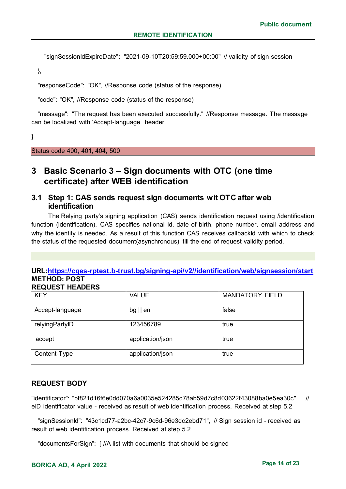"signSessionIdExpireDate": "2021-09-10T20:59:59.000+00:00" // validity of sign session

},

"responseCode": "OK", //Response code (status of the response)

"code": "OK", //Response code (status of the response)

 "message": "The request has been executed successfully." //Response message. The message can be localized with 'Accept-language' header

}

Status code 400, 401, 404, 500

## <span id="page-13-0"></span>**3 Basic Scenario 3 – Sign documents with OTC (one time certificate) after WEB identification**

## <span id="page-13-1"></span>**3.1 Step 1: CAS sends request sign documents wit OTC after web identification**

The Relying party's signing application (CAS) sends identification request using /identification function (identification). CAS specifies national id, date of birth, phone number, email address and why the identity is needed. As a result of this function CAS receives callbackId with which to check the status of the requested document(asynchronous) till the end of request validity period.

## **URL:https://cqes-rptest.b-trust.bg/signing-api/v2//identification/web/signsession/start METHOD: POST**

#### **REQUEST HEADERS**

| <b>KEY</b>      | <b>VALUE</b>      | <b>MANDATORY FIELD</b> |
|-----------------|-------------------|------------------------|
| Accept-language | $bg \parallel en$ | false                  |
| relyingPartyID  | 123456789         | true                   |
| accept          | application/json  | true                   |
| Content-Type    | application/json  | true                   |

#### **REQUEST BODY**

"identificator": "bf821d16f6e0dd070a6a0035e524285c78ab59d7c8d03622f43088ba0e5ea30c", // eID identificator value - received as result of web identification process. Received at step 5.2

 "signSessionId": "43c1cd77-a2bc-42c7-9c6d-96e3dc2ebd71", // Sign session id - received as result of web identification process. Received at step 5.2

"documentsForSign": [ //A list with documents that should be signed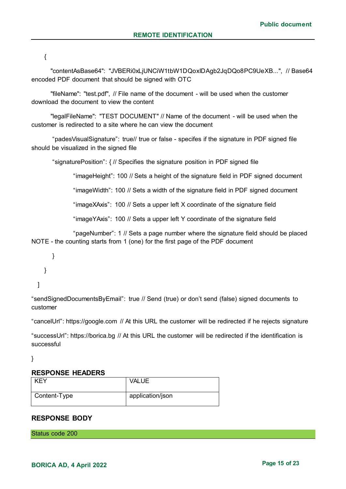{

 "contentAsBase64": "JVBERi0xLjUNCiW1tbW1DQoxIDAgb2JqDQo8PC9UeXB...", // Base64 encoded PDF document that should be signed with OTC

 "fileName": "test.pdf", // File name of the document - will be used when the customer download the document to view the content

 "legalFileName": "TEST DOCUMENT" // Name of the document - will be used when the customer is redirected to a site where he can view the document

"padesVisualSignature": true// true or false - specifes if the signature in PDF signed file should be visualized in the signed file

"signaturePosition": { // Specifies the signature position in PDF signed file

"imageHeight": 100 // Sets a height of the signature field in PDF signed document

"imageWidth": 100 // Sets a width of the signature field in PDF signed document

"imageXAxis": 100 // Sets a upper left X coordinate of the signature field

"imageYAxis": 100 // Sets a upper left Y coordinate of the signature field

"pageNumber": 1 // Sets a page number where the signature field should be placed NOTE - the counting starts from 1 (one) for the first page of the PDF document

} } ]

"sendSignedDocumentsByEmail": true // Send (true) or don't send (false) signed documents to customer

"cancelUrl": https://google.com // At this URL the customer will be redirected if he rejects signature

"successUrl": https://borica.bg // At this URL the customer will be redirected if the identification is successful

}

#### **RESPONSE HEADERS**

| <b>KFY</b>   | <b>VALUE</b>     |
|--------------|------------------|
| Content-Type | application/json |

#### **RESPONSE BODY**

Status code 200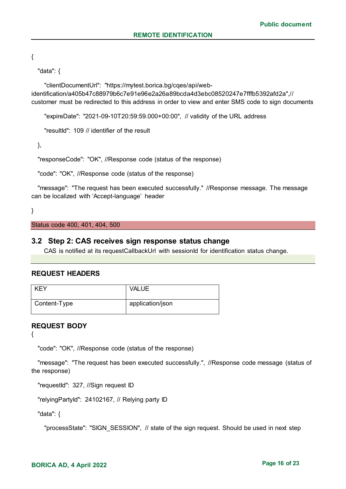{

"data": {

 "clientDocumentUrl": "https://mytest.borica.bg/cqes/api/webidentification/a405b47c88979b6c7e91e96e2a26a89bcda4d3ebc08520247e7fffb5392afd2a",// customer must be redirected to this address in order to view and enter SMS code to sign documents

"expireDate": "2021-09-10T20:59:59.000+00:00", // validity of the URL address

"resultId": 109 // identifier of the result

},

"responseCode": "OK", //Response code (status of the response)

"code": "OK", //Response code (status of the response)

 "message": "The request has been executed successfully." //Response message. The message can be localized with 'Accept-language' header

}

Status code 400, 401, 404, 500

#### <span id="page-15-0"></span>**3.2 Step 2: CAS receives sign response status change**

CAS is notified at its requestCallbackUrl with sessionId for identification status change.

#### **REQUEST HEADERS**

| <b>KEY</b>   | <b>VALUE</b>     |
|--------------|------------------|
| Content-Type | application/json |

#### **REQUEST BODY**

{

"code": "OK", //Response code (status of the response)

 "message": "The request has been executed successfully.", //Response code message (status of the response)

"requestId": 327, //Sign request ID

"relyingPartyId": 24102167, // Relying party ID

"data": {

"processState": "SIGN\_SESSION", // state of the sign request. Should be used in next step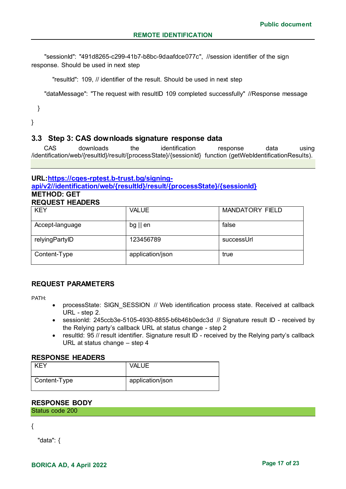"sessionId": "491d8265-c299-41b7-b8bc-9daafdce077c", //session identifier of the sign response. Should be used in next step

"resultId": 109, // identifier of the result. Should be used in next step

"dataMessage": "The request with resultID 109 completed successfully" //Response message

}

}

## <span id="page-16-0"></span>**3.3 Step 3: CAS downloads signature response data**

CAS downloads the identification response data using /identification/web/{resultId}/result/{processState}/{sessionId} function (getWebIdentificationResults).

#### **URL:https://cqes-rptest.b-trust.bg/signingapi/v2//identification/web/{resultId}/result/{processState}/{sessionId} METHOD: GET REQUEST HEADERS**

| <b>KEY</b>      | <b>VALUE</b>      | <b>MANDATORY FIELD</b> |
|-----------------|-------------------|------------------------|
| Accept-language | $bg \parallel en$ | false                  |
| relyingPartyID  | 123456789         | successUrl             |
| Content-Type    | application/json  | true                   |

## **REQUEST PARAMETERS**

PATH:

- processState: SIGN\_SESSION // Web identification process state. Received at callback URL - step 2.
- sessionId: 245ccb3e-5105-4930-8855-b6b46b0edc3d // Signature result ID received by the Relying party's callback URL at status change - step 2
- resultId: 95 // result identifier. Signature result ID received by the Relying party's callback URL at status change – step 4

#### **RESPONSE HEADERS**

| <b>KEY</b>   | <b>VALUE</b>     |
|--------------|------------------|
| Content-Type | application/json |

## **RESPONSE BODY**

Status code 200

{

"data": {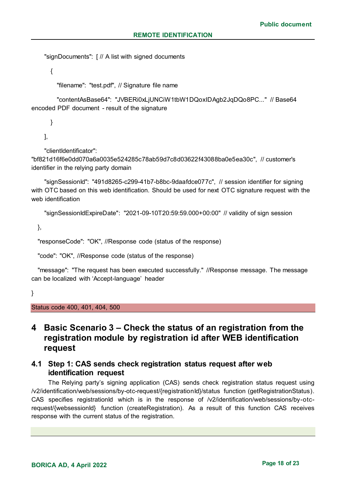"signDocuments": [ // A list with signed documents

{

"filename": "test.pdf", // Signature file name

 "contentAsBase64": "JVBERi0xLjUNCiW1tbW1DQoxIDAgb2JqDQo8PC..." // Base64 encoded PDF document - result of the signature

}

],

"clientIdentificator":

"bf821d16f6e0dd070a6a0035e524285c78ab59d7c8d03622f43088ba0e5ea30c", // customer's identifier in the relying party domain

 "signSessionId": "491d8265-c299-41b7-b8bc-9daafdce077c", // session identifier for signing with OTC based on this web identification. Should be used for next OTC signature request with the web identification

"signSessionIdExpireDate": "2021-09-10T20:59:59.000+00:00" // validity of sign session

},

"responseCode": "OK", //Response code (status of the response)

"code": "OK", //Response code (status of the response)

 "message": "The request has been executed successfully." //Response message. The message can be localized with 'Accept-language' header

}

Status code 400, 401, 404, 500

## <span id="page-17-0"></span>**4 Basic Scenario 3 – Check the status of an registration from the registration module by registration id after WEB identification request**

## <span id="page-17-1"></span>**4.1 Step 1: CAS sends check registration status request after web identification request**

The Relying party's signing application (CAS) sends check registration status request using /v2/identification/web/sessions/by-otc-request/{registrationId}/status function (getRegistrationStatus). CAS specifies registrationId which is in the response of /v2/identification/web/sessions/by-otcrequest/{websessionId} function (createRegistration). As a result of this function CAS receives response with the current status of the registration.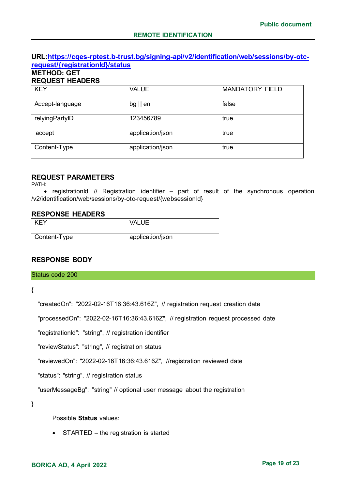### **URL:https://cqes-rptest.b-trust.bg/signing-api/v2/identification/web/sessions/by-otcrequest/{registrationId}/status**

#### **METHOD: GET REQUEST HEADERS**

| <b>KEY</b>      | <b>VALUE</b>      | <b>MANDATORY FIELD</b> |
|-----------------|-------------------|------------------------|
| Accept-language | $bg \parallel en$ | false                  |
| relyingPartyID  | 123456789         | true                   |
| accept          | application/json  | true                   |
| Content-Type    | application/json  | true                   |

## **REQUEST PARAMETERS**

PATH:

• registrationId // Registration identifier  $-$  part of result of the synchronous operation /v2/identification/web/sessions/by-otc-request/{websessionId}

#### **RESPONSE HEADERS**

| <b>KEY</b>   | <b>VALUE</b>     |
|--------------|------------------|
| Content-Type | application/json |

#### **RESPONSE BODY**

Status code 200

{

"createdOn": "2022-02-16T16:36:43.616Z", // registration request creation date

"processedOn": "2022-02-16T16:36:43.616Z", // registration request processed date

"registrationId": "string", // registration identifier

"reviewStatus": "string", // registration status

"reviewedOn": "2022-02-16T16:36:43.616Z", //registration reviewed date

"status": "string", // registration status

"userMessageBg": "string" // optional user message about the registration

}

Possible **Status** values:

• STARTED – the registration is started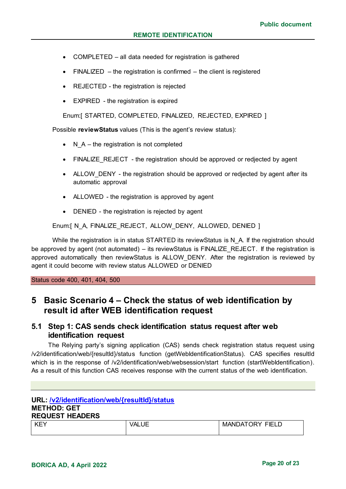- COMPLETED all data needed for registration is gathered
- FINALIZED the registration is confirmed the client is registered
- REJECTED the registration is rejected
- EXPIRED the registration is expired

Enum:[ STARTED, COMPLETED, FINALIZED, REJECTED, EXPIRED ]

Possible **reviewStatus** values (This is the agent's review status):

- $\bullet$  N A the registration is not completed
- FINALIZE REJECT the registration should be approved or redjected by agent
- ALLOW DENY the registration should be approved or redjected by agent after its automatic approval
- ALLOWED the registration is approved by agent
- DENIED the registration is rejected by agent

Enum:[ N A, FINALIZE\_REJECT, ALLOW\_DENY, ALLOWED, DENIED ]

While the registration is in status STARTED its reviewStatus is N\_A. If the registration should be approved by agent (not automated) – its reviewStatus is FINALIZE\_REJECT. If the registration is approved automatically then reviewStatus is ALLOW DENY. After the registration is reviewed by agent it could become with review status ALLOWED or DENIED

Status code 400, 401, 404, 500

## **5 Basic Scenario 4 – Check the status of web identification by result id after WEB identification request**

## **5.1 Step 1: CAS sends check identification status request after web identification request**

The Relying party's signing application (CAS) sends check registration status request using /v2/identification/web/{resultId}/status function (getWebIdentificationStatus). CAS specifies resultId which is in the response of /v2/identification/web/websession/start function (startWebIdentification). As a result of this function CAS receives response with the current status of the web identification.

#### **URL: /v2/identification/web/{resultId}/status METHOD: GET REQUEST HEADERS**

| KEY<br>∼ | ۱ΔI<br>ΙE | <b>MANDATORY FIELD</b> |
|----------|-----------|------------------------|
|          |           |                        |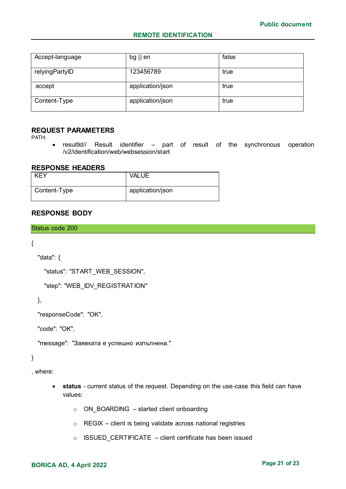#### **REMOTE IDENTIFICATION**

| Accept-language | $bg \parallel en$ | false |
|-----------------|-------------------|-------|
| relyingPartyID  | 123456789         | true  |
| accept          | application/json  | true  |
| Content-Type    | application/json  | true  |

#### **REQUEST PARAMETERS**

PATH:

• resultId// Result identifier – part of result of the synchronous operation /v2/identification/web/websession/start

#### **RESPONSE HEADERS**

| <b>KEY</b>   | <b>VALUE</b>     |
|--------------|------------------|
| Content-Type | application/json |

## **RESPONSE BODY**

Status code 200

{

```
 "data": {
```
"status": "START\_WEB\_SESSION",

"step": "WEB\_IDV\_REGISTRATION"

},

"responseCode": "OK",

"code": "OK",

"message": "Заявката е успешно изпълнена."

}

, where:

- **status** current status of the request. Depending on the use-case this field can have values:
	- o ON\_BOARDING started client onboarding
	- $\circ$  REGIX client is being validate across national registries
	- $\circ$  ISSUED CERTIFICATE client certificate has been issued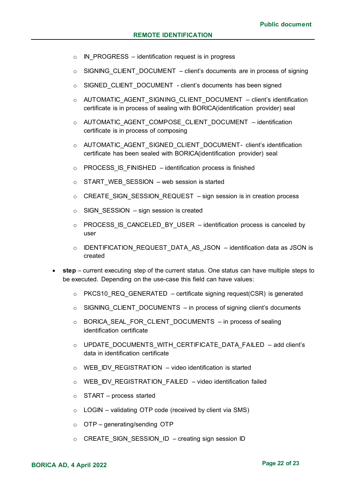- $\circ$  IN PROGRESS identification request is in progress
- $\circ$  SIGNING CLIENT DOCUMENT client's documents are in process of signing
- o SIGNED CLIENT DOCUMENT client's documents has been signed
- o AUTOMATIC AGENT SIGNING CLIENT DOCUMENT client's identification certificate is in process of sealing with BORICA(identification provider) seal
- o AUTOMATIC\_AGENT\_COMPOSE\_CLIENT\_DOCUMENT identification certificate is in process of composing
- $\circ$  AUTOMATIC AGENT SIGNED CLIENT DOCUMENT- client's identification certificate has been sealed with BORICA(identification provider) seal
- $\circ$  PROCESS IS FINISHED identification process is finished
- $\circ$  START WEB SESSION web session is started
- $\circ$  CREATE\_SIGN\_SESSION\_REQUEST sign session is in creation process
- $\circ$  SIGN SESSION sign session is created
- $\circ$  PROCESS IS CANCELED BY USER identification process is canceled by user
- o IDENTIFICATION\_REQUEST\_DATA\_AS\_JSON identification data as JSON is created
- **step** current executing step of the current status. One status can have multiple steps to be executed. Depending on the use-case this field can have values:
	- $\circ$  PKCS10 REQ GENERATED certificate signing request(CSR) is generated
	- $\circ$  SIGNING CLIENT DOCUMENTS in process of signing client's documents
	- o BORICA\_SEAL\_FOR\_CLIENT\_DOCUMENTS in process of sealing identification certificate
	- o UPDATE DOCUMENTS WITH CERTIFICATE DATA FAILED add client's data in identification certificate
	- $\circ$  WEB IDV REGISTRATION video identification is started
	- $\circ$  WEB IDV REGISTRATION FAILED video identification failed
	- o START process started
	- $\circ$  LOGIN validating OTP code (received by client via SMS)
	- o OTP generating/sending OTP
	- o CREATE\_SIGN\_SESSION\_ID creating sign session ID